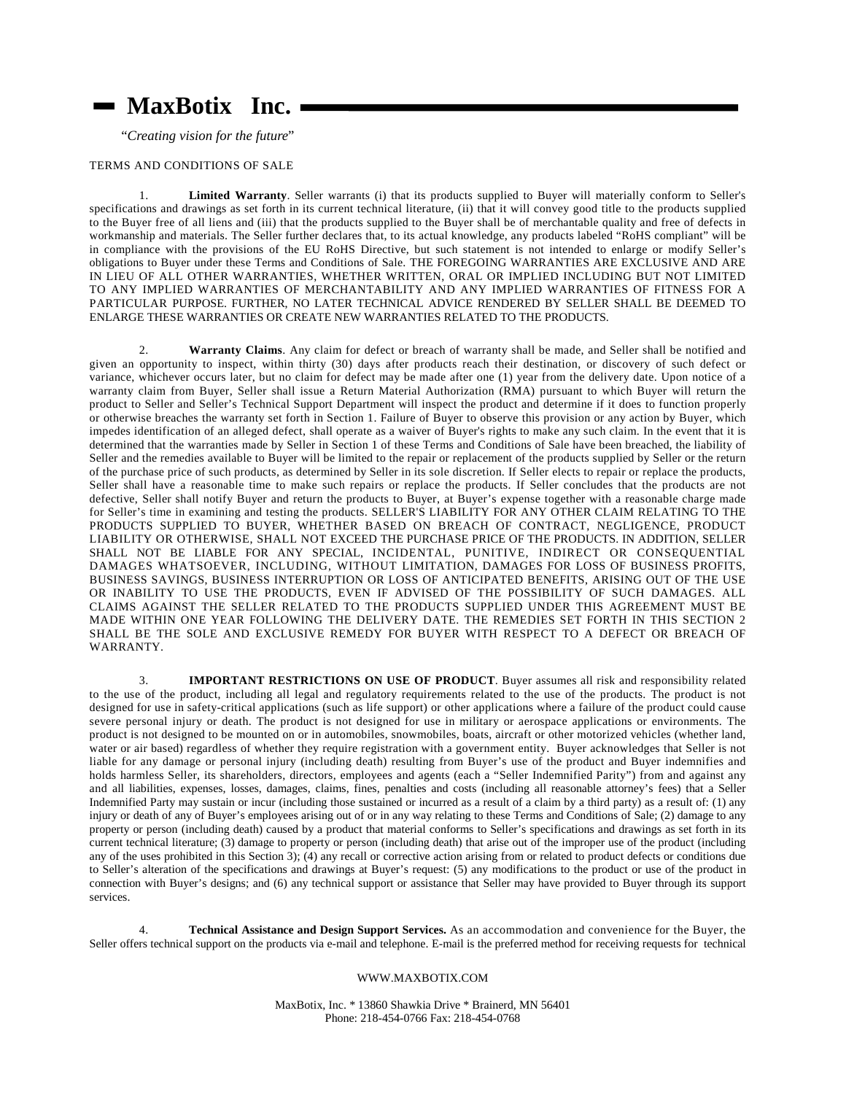## **MaxBotix**<sup>®</sup> Inc.

"*Creating vision for the future*"

## TERMS AND CONDITIONS OF SALE

1. **Limited Warranty**. Seller warrants (i) that its products supplied to Buyer will materially conform to Seller's specifications and drawings as set forth in its current technical literature, (ii) that it will convey good title to the products supplied to the Buyer free of all liens and (iii) that the products supplied to the Buyer shall be of merchantable quality and free of defects in workmanship and materials. The Seller further declares that, to its actual knowledge, any products labeled "RoHS compliant" will be in compliance with the provisions of the EU RoHS Directive, but such statement is not intended to enlarge or modify Seller's obligations to Buyer under these Terms and Conditions of Sale. THE FOREGOING WARRANTIES ARE EXCLUSIVE AND ARE IN LIEU OF ALL OTHER WARRANTIES, WHETHER WRITTEN, ORAL OR IMPLIED INCLUDING BUT NOT LIMITED TO ANY IMPLIED WARRANTIES OF MERCHANTABILITY AND ANY IMPLIED WARRANTIES OF FITNESS FOR A PARTICULAR PURPOSE. FURTHER, NO LATER TECHNICAL ADVICE RENDERED BY SELLER SHALL BE DEEMED TO ENLARGE THESE WARRANTIES OR CREATE NEW WARRANTIES RELATED TO THE PRODUCTS.

2. **Warranty Claims**. Any claim for defect or breach of warranty shall be made, and Seller shall be notified and given an opportunity to inspect, within thirty (30) days after products reach their destination, or discovery of such defect or variance, whichever occurs later, but no claim for defect may be made after one (1) year from the delivery date. Upon notice of a warranty claim from Buyer, Seller shall issue a Return Material Authorization (RMA) pursuant to which Buyer will return the product to Seller and Seller's Technical Support Department will inspect the product and determine if it does to function properly or otherwise breaches the warranty set forth in Section 1. Failure of Buyer to observe this provision or any action by Buyer, which impedes identification of an alleged defect, shall operate as a waiver of Buyer's rights to make any such claim. In the event that it is determined that the warranties made by Seller in Section 1 of these Terms and Conditions of Sale have been breached, the liability of Seller and the remedies available to Buyer will be limited to the repair or replacement of the products supplied by Seller or the return of the purchase price of such products, as determined by Seller in its sole discretion. If Seller elects to repair or replace the products, Seller shall have a reasonable time to make such repairs or replace the products. If Seller concludes that the products are not defective, Seller shall notify Buyer and return the products to Buyer, at Buyer's expense together with a reasonable charge made for Seller's time in examining and testing the products. SELLER'S LIABILITY FOR ANY OTHER CLAIM RELATING TO THE PRODUCTS SUPPLIED TO BUYER, WHETHER BASED ON BREACH OF CONTRACT, NEGLIGENCE, PRODUCT LIABILITY OR OTHERWISE, SHALL NOT EXCEED THE PURCHASE PRICE OF THE PRODUCTS. IN ADDITION, SELLER SHALL NOT BE LIABLE FOR ANY SPECIAL, INCIDENTAL, PUNITIVE, INDIRECT OR CONSEQUENTIAL DAMAGES WHATSOEVER, INCLUDING, WITHOUT LIMITATION, DAMAGES FOR LOSS OF BUSINESS PROFITS, BUSINESS SAVINGS, BUSINESS INTERRUPTION OR LOSS OF ANTICIPATED BENEFITS, ARISING OUT OF THE USE OR INABILITY TO USE THE PRODUCTS, EVEN IF ADVISED OF THE POSSIBILITY OF SUCH DAMAGES. ALL CLAIMS AGAINST THE SELLER RELATED TO THE PRODUCTS SUPPLIED UNDER THIS AGREEMENT MUST BE MADE WITHIN ONE YEAR FOLLOWING THE DELIVERY DATE. THE REMEDIES SET FORTH IN THIS SECTION 2 SHALL BE THE SOLE AND EXCLUSIVE REMEDY FOR BUYER WITH RESPECT TO A DEFECT OR BREACH OF WARRANTY.

3. **IMPORTANT RESTRICTIONS ON USE OF PRODUCT**. Buyer assumes all risk and responsibility related to the use of the product, including all legal and regulatory requirements related to the use of the products. The product is not designed for use in safety-critical applications (such as life support) or other applications where a failure of the product could cause severe personal injury or death. The product is not designed for use in military or aerospace applications or environments. The product is not designed to be mounted on or in automobiles, snowmobiles, boats, aircraft or other motorized vehicles (whether land, water or air based) regardless of whether they require registration with a government entity. Buyer acknowledges that Seller is not liable for any damage or personal injury (including death) resulting from Buyer's use of the product and Buyer indemnifies and holds harmless Seller, its shareholders, directors, employees and agents (each a "Seller Indemnified Parity") from and against any and all liabilities, expenses, losses, damages, claims, fines, penalties and costs (including all reasonable attorney's fees) that a Seller Indemnified Party may sustain or incur (including those sustained or incurred as a result of a claim by a third party) as a result of: (1) any injury or death of any of Buyer's employees arising out of or in any way relating to these Terms and Conditions of Sale; (2) damage to any property or person (including death) caused by a product that material conforms to Seller's specifications and drawings as set forth in its current technical literature; (3) damage to property or person (including death) that arise out of the improper use of the product (including any of the uses prohibited in this Section 3); (4) any recall or corrective action arising from or related to product defects or conditions due to Seller's alteration of the specifications and drawings at Buyer's request: (5) any modifications to the product or use of the product in connection with Buyer's designs; and (6) any technical support or assistance that Seller may have provided to Buyer through its support services.

4. **Technical Assistance and Design Support Services.** As an accommodation and convenience for the Buyer, the Seller offers technical support on the products via e-mail and telephone. E-mail is the preferred method for receiving requests for technical

## WWW.MAXBOTIX.COM

MaxBotix, Inc. \* 13860 Shawkia Drive \* Brainerd, MN 56401 Phone: 218-454-0766 Fax: 218-454-0768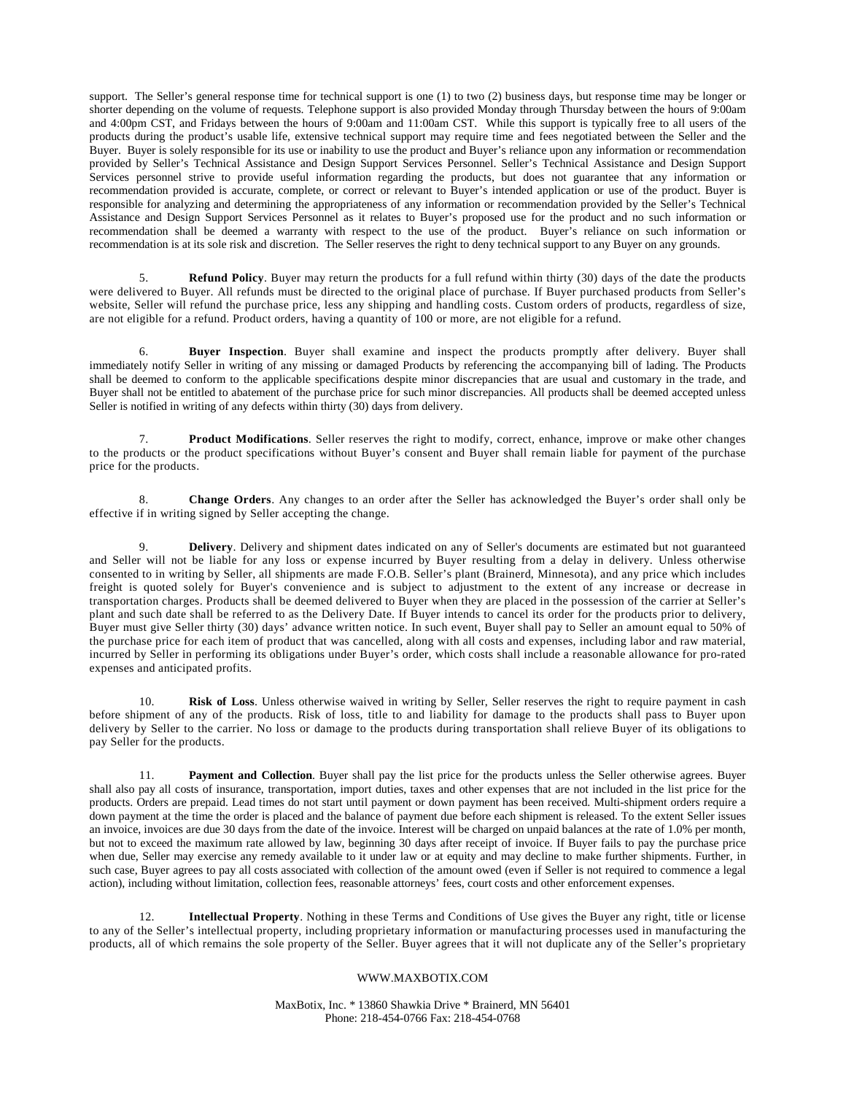support. The Seller's general response time for technical support is one (1) to two (2) business days, but response time may be longer or shorter depending on the volume of requests. Telephone support is also provided Monday through Thursday between the hours of 9:00am and 4:00pm CST, and Fridays between the hours of 9:00am and 11:00am CST. While this support is typically free to all users of the products during the product's usable life, extensive technical support may require time and fees negotiated between the Seller and the Buyer. Buyer is solely responsible for its use or inability to use the product and Buyer's reliance upon any information or recommendation provided by Seller's Technical Assistance and Design Support Services Personnel. Seller's Technical Assistance and Design Support Services personnel strive to provide useful information regarding the products, but does not guarantee that any information or recommendation provided is accurate, complete, or correct or relevant to Buyer's intended application or use of the product. Buyer is responsible for analyzing and determining the appropriateness of any information or recommendation provided by the Seller's Technical Assistance and Design Support Services Personnel as it relates to Buyer's proposed use for the product and no such information or recommendation shall be deemed a warranty with respect to the use of the product. Buyer's reliance on such information or recommendation is at its sole risk and discretion. The Seller reserves the right to deny technical support to any Buyer on any grounds.

5. **Refund Policy**. Buyer may return the products for a full refund within thirty (30) days of the date the products were delivered to Buyer. All refunds must be directed to the original place of purchase. If Buyer purchased products from Seller's website, Seller will refund the purchase price, less any shipping and handling costs. Custom orders of products, regardless of size, are not eligible for a refund. Product orders, having a quantity of 100 or more, are not eligible for a refund.

6. **Buyer Inspection**. Buyer shall examine and inspect the products promptly after delivery. Buyer shall immediately notify Seller in writing of any missing or damaged Products by referencing the accompanying bill of lading. The Products shall be deemed to conform to the applicable specifications despite minor discrepancies that are usual and customary in the trade, and Buyer shall not be entitled to abatement of the purchase price for such minor discrepancies. All products shall be deemed accepted unless Seller is notified in writing of any defects within thirty (30) days from delivery.

7. **Product Modifications**. Seller reserves the right to modify, correct, enhance, improve or make other changes to the products or the product specifications without Buyer's consent and Buyer shall remain liable for payment of the purchase price for the products.

8. **Change Orders**. Any changes to an order after the Seller has acknowledged the Buyer's order shall only be effective if in writing signed by Seller accepting the change.

9. **Delivery**. Delivery and shipment dates indicated on any of Seller's documents are estimated but not guaranteed and Seller will not be liable for any loss or expense incurred by Buyer resulting from a delay in delivery. Unless otherwise consented to in writing by Seller, all shipments are made F.O.B. Seller's plant (Brainerd, Minnesota), and any price which includes freight is quoted solely for Buyer's convenience and is subject to adjustment to the extent of any increase or decrease in transportation charges. Products shall be deemed delivered to Buyer when they are placed in the possession of the carrier at Seller's plant and such date shall be referred to as the Delivery Date. If Buyer intends to cancel its order for the products prior to delivery, Buyer must give Seller thirty (30) days' advance written notice. In such event, Buyer shall pay to Seller an amount equal to 50% of the purchase price for each item of product that was cancelled, along with all costs and expenses, including labor and raw material, incurred by Seller in performing its obligations under Buyer's order, which costs shall include a reasonable allowance for pro-rated expenses and anticipated profits.

10. **Risk of Loss**. Unless otherwise waived in writing by Seller, Seller reserves the right to require payment in cash before shipment of any of the products. Risk of loss, title to and liability for damage to the products shall pass to Buyer upon delivery by Seller to the carrier. No loss or damage to the products during transportation shall relieve Buyer of its obligations to pay Seller for the products.

11. **Payment and Collection**. Buyer shall pay the list price for the products unless the Seller otherwise agrees. Buyer shall also pay all costs of insurance, transportation, import duties, taxes and other expenses that are not included in the list price for the products. Orders are prepaid. Lead times do not start until payment or down payment has been received. Multi-shipment orders require a down payment at the time the order is placed and the balance of payment due before each shipment is released. To the extent Seller issues an invoice, invoices are due 30 days from the date of the invoice. Interest will be charged on unpaid balances at the rate of 1.0% per month, but not to exceed the maximum rate allowed by law, beginning 30 days after receipt of invoice. If Buyer fails to pay the purchase price when due, Seller may exercise any remedy available to it under law or at equity and may decline to make further shipments. Further, in such case, Buyer agrees to pay all costs associated with collection of the amount owed (even if Seller is not required to commence a legal action), including without limitation, collection fees, reasonable attorneys' fees, court costs and other enforcement expenses.

12. **Intellectual Property**. Nothing in these Terms and Conditions of Use gives the Buyer any right, title or license to any of the Seller's intellectual property, including proprietary information or manufacturing processes used in manufacturing the products, all of which remains the sole property of the Seller. Buyer agrees that it will not duplicate any of the Seller's proprietary

## WWW.MAXBOTIX.COM

MaxBotix, Inc. \* 13860 Shawkia Drive \* Brainerd, MN 56401 Phone: 218-454-0766 Fax: 218-454-0768